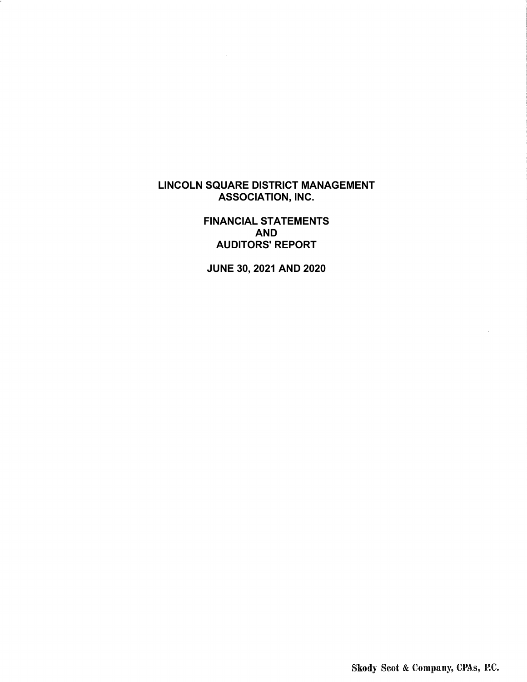## **LINCOLN SQUARE DISTRICT MANAGEMENT ASSOCIATION, INC.**

**FINANCIAL STATEMENTS AND AUDITORS' REPORT** 

**JUNE 30, 2021 AND 2020** 

Skody Scot & Company, CPAs, P.C.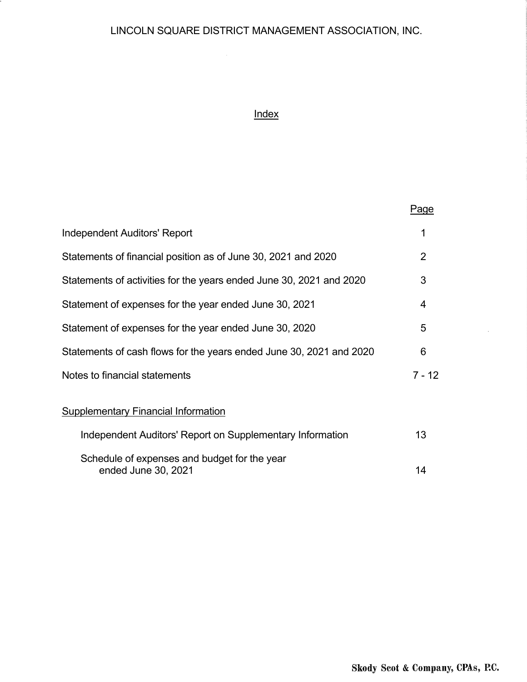# LINCOLN SQUARE DISTRICT MANAGEMENT ASSOCIATION, INC.

## **Index**

|                                                                     | Page   |
|---------------------------------------------------------------------|--------|
| Independent Auditors' Report                                        |        |
| Statements of financial position as of June 30, 2021 and 2020       | 2      |
| Statements of activities for the years ended June 30, 2021 and 2020 | 3      |
| Statement of expenses for the year ended June 30, 2021              | 4      |
| Statement of expenses for the year ended June 30, 2020              | 5      |
| Statements of cash flows for the years ended June 30, 2021 and 2020 | 6      |
| Notes to financial statements                                       | 7 - 12 |
| <b>Supplementary Financial Information</b>                          |        |
| Independent Auditors' Report on Supplementary Information           | 13     |
| Schedule of expenses and budget for the year<br>ended June 30, 2021 | 14     |
|                                                                     |        |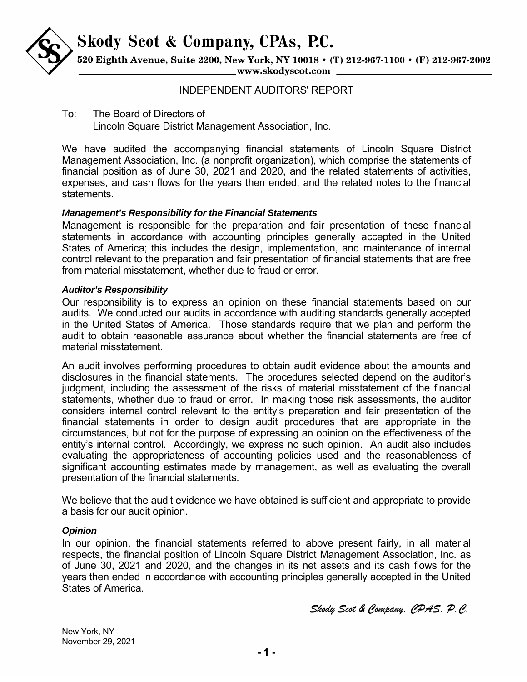

**Skody Scot & Company, CPAs, P.C.** 

520 Eighth Avenue, Suite 2200, New York, NY 10018 • (T) 212-967-1100 • (F) 212-967-2002 www.skodyscot.com

### INDEPENDENT AUDITORS' REPORT

To: The Board of Directors of Lincoln Square District Management Association, Inc.

We have audited the accompanying financial statements of Lincoln Square District Management Association, Inc. (a nonprofit organization), which comprise the statements of financial position as of June 30, 2021 and 2020, and the related statements of activities, expenses, and cash flows for the years then ended, and the related notes to the financial statements.

#### *Management's Responsibility for the Financial Statements*

Management is responsible for the preparation and fair presentation of these financial statements in accordance with accounting principles generally accepted in the United States of America; this includes the design, implementation, and maintenance of internal control relevant to the preparation and fair presentation of financial statements that are free from material misstatement, whether due to fraud or error.

#### *Auditor's Responsibility*

Our responsibility is to express an opinion on these financial statements based on our audits. We conducted our audits in accordance with auditing standards generally accepted in the United States of America. Those standards require that we plan and perform the audit to obtain reasonable assurance about whether the financial statements are free of material misstatement.

An audit involves performing procedures to obtain audit evidence about the amounts and disclosures in the financial statements. The procedures selected depend on the auditor's judgment, including the assessment of the risks of material misstatement of the financial statements, whether due to fraud or error. In making those risk assessments, the auditor considers internal control relevant to the entity's preparation and fair presentation of the financial statements in order to design audit procedures that are appropriate in the circumstances, but not for the purpose of expressing an opinion on the effectiveness of the entity's internal control. Accordingly, we express no such opinion. An audit also includes evaluating the appropriateness of accounting policies used and the reasonableness of significant accounting estimates made by management, as well as evaluating the overall presentation of the financial statements.

We believe that the audit evidence we have obtained is sufficient and appropriate to provide a basis for our audit opinion.

#### *Opinion*

In our opinion, the financial statements referred to above present fairly, in all material respects, the financial position of Lincoln Square District Management Association, Inc. as of June 30, 2021 and 2020, and the changes in its net assets and its cash flows for the years then ended in accordance with accounting principles generally accepted in the United States of America.

*Skody Scot & Company, CPAS, P.C.* 

New York, NY<br>November 29, 2021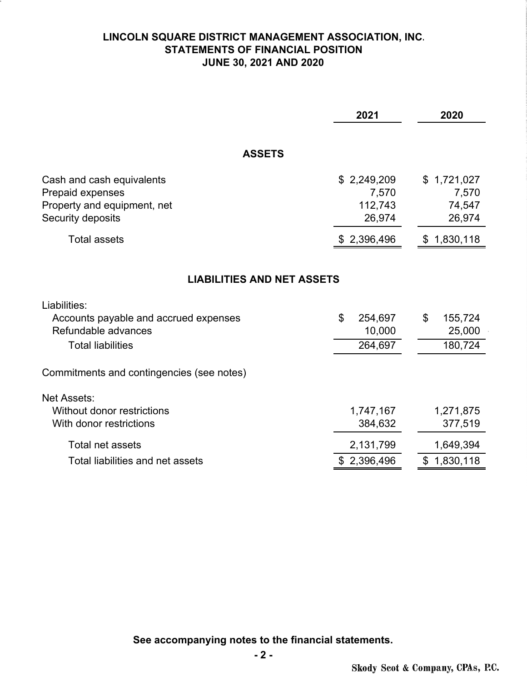## **STATEMENTS OF FINANCIAL POSITION JUNE 30, 2021 AND 2020 LINCOLN SQUARE DISTRICT MANAGEMENT ASSOCIATION, INC.**

|                                                                                                                          | 2021                                                     | 2020                                                    |
|--------------------------------------------------------------------------------------------------------------------------|----------------------------------------------------------|---------------------------------------------------------|
| <b>ASSETS</b>                                                                                                            |                                                          |                                                         |
| Cash and cash equivalents<br>Prepaid expenses<br>Property and equipment, net<br>Security deposits<br><b>Total assets</b> | \$2,249,209<br>7,570<br>112,743<br>26,974<br>\$2,396,496 | \$1,721,027<br>7,570<br>74,547<br>26,974<br>\$1,830,118 |
|                                                                                                                          |                                                          |                                                         |
| <b>LIABILITIES AND NET ASSETS</b>                                                                                        |                                                          |                                                         |
| Liabilities:<br>Accounts payable and accrued expenses<br>Refundable advances<br><b>Total liabilities</b>                 | \$<br>254,697<br>10,000<br>264,697                       | \$<br>155,724<br>25,000<br>180,724                      |
| Commitments and contingencies (see notes)                                                                                |                                                          |                                                         |
| <b>Net Assets:</b><br>Without donor restrictions<br>With donor restrictions                                              | 1,747,167<br>384,632                                     | 1,271,875<br>377,519                                    |
| <b>Total net assets</b>                                                                                                  | 2,131,799                                                | 1,649,394                                               |
| Total liabilities and net assets                                                                                         | \$2,396,496                                              | 1,830,118<br>\$                                         |

**See accompanying notes to the financial statements.**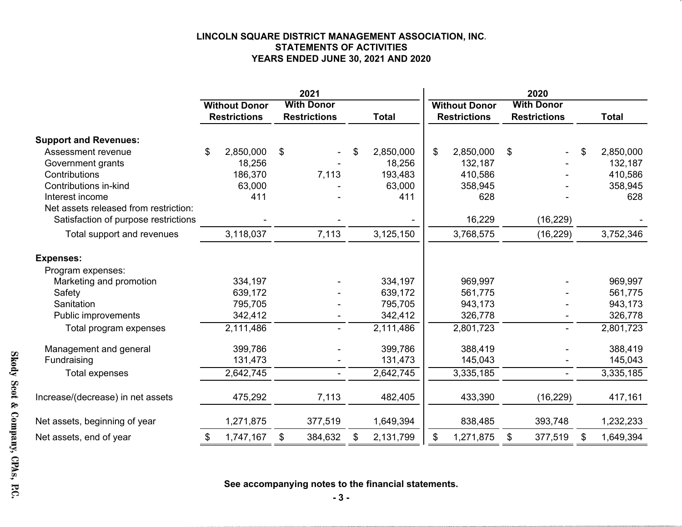#### **LINCOLN SQUARE DISTRICT MANAGEMENT ASSOCIATION, INC. STATEMENTS OF ACTIVITIES YEARS ENDED JUNE 30, 2021 AND 2020**

|                                                                               | 2021 |                      |    |                          | 2020 |              |    |                      |                           |                          |    |              |
|-------------------------------------------------------------------------------|------|----------------------|----|--------------------------|------|--------------|----|----------------------|---------------------------|--------------------------|----|--------------|
|                                                                               |      | <b>Without Donor</b> |    | <b>With Donor</b>        |      |              |    | <b>Without Donor</b> |                           | <b>With Donor</b>        |    |              |
|                                                                               |      | <b>Restrictions</b>  |    | <b>Restrictions</b>      |      | <b>Total</b> |    | <b>Restrictions</b>  |                           | <b>Restrictions</b>      |    | <b>Total</b> |
| <b>Support and Revenues:</b>                                                  |      |                      |    |                          |      |              |    |                      |                           |                          |    |              |
| Assessment revenue                                                            | \$   | 2,850,000            | \$ |                          | \$   | 2,850,000    | \$ | 2,850,000            | $\boldsymbol{\mathsf{S}}$ | $\overline{\phantom{0}}$ | \$ | 2,850,000    |
| Government grants                                                             |      | 18,256               |    |                          |      | 18,256       |    | 132,187              |                           |                          |    | 132,187      |
| Contributions                                                                 |      | 186,370              |    | 7,113                    |      | 193,483      |    | 410,586              |                           |                          |    | 410,586      |
| Contributions in-kind                                                         |      | 63,000               |    |                          |      | 63,000       |    | 358,945              |                           |                          |    | 358,945      |
| Interest income                                                               |      | 411                  |    |                          |      | 411          |    | 628                  |                           |                          |    | 628          |
| Net assets released from restriction:<br>Satisfaction of purpose restrictions |      |                      |    |                          |      |              |    | 16,229               |                           | (16, 229)                |    |              |
| Total support and revenues                                                    |      | 3,118,037            |    | 7,113                    |      | 3,125,150    |    | 3,768,575            |                           | (16, 229)                |    | 3,752,346    |
| <b>Expenses:</b>                                                              |      |                      |    |                          |      |              |    |                      |                           |                          |    |              |
| Program expenses:                                                             |      |                      |    |                          |      |              |    |                      |                           |                          |    |              |
| Marketing and promotion                                                       |      | 334,197              |    |                          |      | 334,197      |    | 969,997              |                           |                          |    | 969,997      |
| Safety                                                                        |      | 639,172              |    |                          |      | 639,172      |    | 561,775              |                           |                          |    | 561,775      |
| Sanitation                                                                    |      | 795,705              |    |                          |      | 795,705      |    | 943,173              |                           |                          |    | 943,173      |
| Public improvements                                                           |      | 342,412              |    |                          |      | 342,412      |    | 326,778              |                           |                          |    | 326,778      |
| Total program expenses                                                        |      | 2,111,486            |    | $\overline{\phantom{0}}$ |      | 2,111,486    |    | 2,801,723            |                           |                          |    | 2,801,723    |
| Management and general                                                        |      | 399,786              |    |                          |      | 399,786      |    | 388,419              |                           |                          |    | 388,419      |
| Fundraising                                                                   |      | 131,473              |    |                          |      | 131,473      |    | 145,043              |                           |                          |    | 145,043      |
| Total expenses                                                                |      | 2,642,745            |    |                          |      | 2,642,745    |    | 3,335,185            |                           |                          |    | 3,335,185    |
| Increase/(decrease) in net assets                                             |      | 475,292              |    | 7,113                    |      | 482,405      |    | 433,390              |                           | (16, 229)                |    | 417,161      |
| Net assets, beginning of year                                                 |      | 1,271,875            |    | 377,519                  |      | 1,649,394    |    | 838,485              |                           | 393,748                  |    | 1,232,233    |
| Net assets, end of year                                                       | \$   | 1,747,167            | \$ | 384,632                  | \$   | 2,131,799    | \$ | 1,271,875            | \$                        | 377,519                  | \$ | 1,649,394    |

**See accompanying notes to the financial statements.**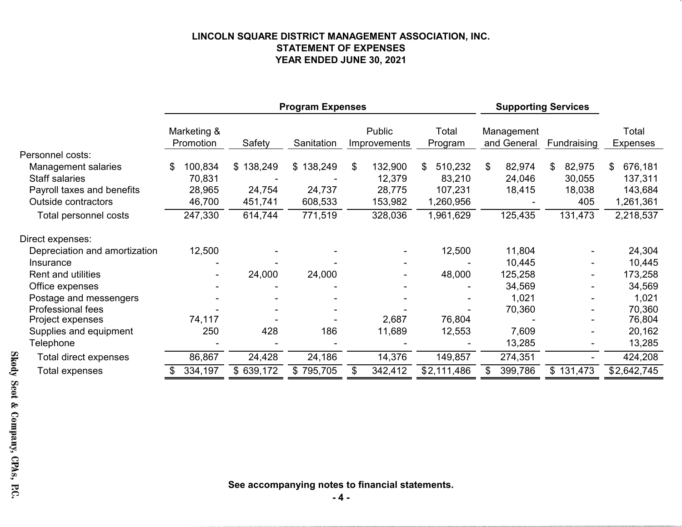#### **STATEMENT OF EXPENSESYEAR ENDED JUNE 30, 2021 LINCOLN SQUARE DISTRICT MANAGEMENT ASSOCIATION, INC.**

|                               | <b>Program Expenses</b> |           |            |     | <b>Supporting Services</b> |                         |              |              |               |
|-------------------------------|-------------------------|-----------|------------|-----|----------------------------|-------------------------|--------------|--------------|---------------|
|                               | Marketing &             |           |            |     | Public                     | Total                   | Management   |              | Total         |
|                               | Promotion               | Safety    | Sanitation |     | Improvements               | Program                 | and General  | Fundraising  | Expenses      |
| Personnel costs:              |                         |           |            |     |                            |                         |              |              |               |
| Management salaries           | 100,834<br>\$           | \$138,249 | \$138,249  | \$. | 132,900                    | 510,232<br>$\mathbb{S}$ | \$<br>82,974 | 82,975<br>\$ | 676,181<br>\$ |
| <b>Staff salaries</b>         | 70,831                  |           |            |     | 12,379                     | 83,210                  | 24,046       | 30,055       | 137,311       |
| Payroll taxes and benefits    | 28,965                  | 24,754    | 24,737     |     | 28,775                     | 107,231                 | 18,415       | 18,038       | 143,684       |
| <b>Outside contractors</b>    | 46,700                  | 451,741   | 608,533    |     | 153,982                    | 1,260,956               |              | 405          | 1,261,361     |
| Total personnel costs         | 247,330                 | 614,744   | 771,519    |     | 328,036                    | 1,961,629               | 125,435      | 131,473      | 2,218,537     |
| Direct expenses:              |                         |           |            |     |                            |                         |              |              |               |
| Depreciation and amortization | 12,500                  |           |            |     |                            | 12,500                  | 11,804       |              | 24,304        |
| Insurance                     |                         |           |            |     |                            |                         | 10,445       |              | 10,445        |
| <b>Rent and utilities</b>     |                         | 24,000    | 24,000     |     |                            | 48,000                  | 125,258      |              | 173,258       |
| Office expenses               |                         |           |            |     |                            |                         | 34,569       |              | 34,569        |
| Postage and messengers        |                         |           |            |     |                            |                         | 1,021        |              | 1,021         |
| Professional fees             |                         |           |            |     |                            |                         | 70,360       |              | 70,360        |
| Project expenses              | 74,117                  |           |            |     | 2,687                      | 76,804                  |              |              | 76,804        |
| Supplies and equipment        | 250                     | 428       | 186        |     | 11,689                     | 12,553                  | 7,609        |              | 20,162        |
| Telephone                     |                         |           |            |     |                            |                         | 13,285       |              | 13,285        |
| Total direct expenses         | 86,867                  | 24,428    | 24,186     |     | 14,376                     | 149,857                 | 274,351      |              | 424,208       |
| Total expenses                | 334,197                 | \$639,172 | \$795,705  |     | 342,412                    | \$2,111,486             | 399,786      | \$131,473    | \$2,642,745   |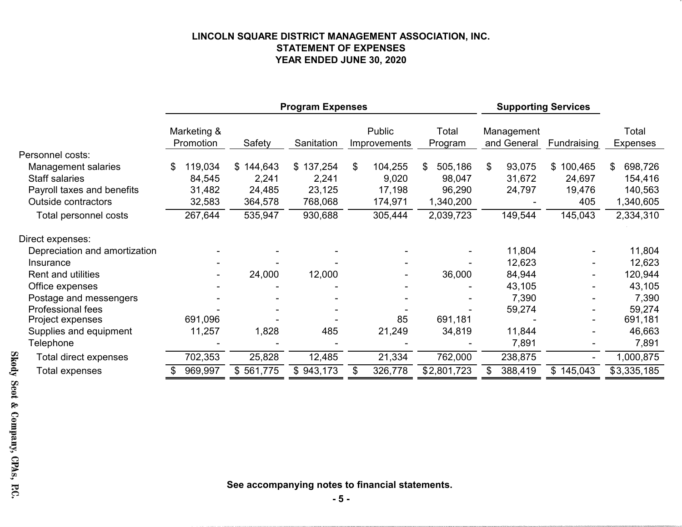#### **STATEMENT OF EXPENSESYEAR ENDED JUNE 30, 2020 LINCOLN SQUARE DISTRICT MANAGEMENT ASSOCIATION, INC.**

|                               | <b>Program Expenses</b> |           |            |    | <b>Supporting Services</b> |               |    |             |                |                 |
|-------------------------------|-------------------------|-----------|------------|----|----------------------------|---------------|----|-------------|----------------|-----------------|
|                               | Marketing &             |           |            |    | Public                     | Total         |    | Management  |                | Total           |
|                               | Promotion               | Safety    | Sanitation |    | Improvements               | Program       |    | and General | Fundraising    | <b>Expenses</b> |
| Personnel costs:              |                         |           |            |    |                            |               |    |             |                |                 |
| Management salaries           | 119,034                 | \$144,643 | \$137,254  | \$ | 104,255                    | 505,186<br>\$ | \$ | 93,075      | \$100,465      | 698,726<br>\$   |
| <b>Staff salaries</b>         | 84,545                  | 2,241     | 2,241      |    | 9,020                      | 98,047        |    | 31,672      | 24,697         | 154,416         |
| Payroll taxes and benefits    | 31,482                  | 24,485    | 23,125     |    | 17,198                     | 96,290        |    | 24,797      | 19,476         | 140,563         |
| <b>Outside contractors</b>    | 32,583                  | 364,578   | 768,068    |    | 174,971                    | 1,340,200     |    |             | 405            | 1,340,605       |
| Total personnel costs         | 267,644                 | 535,947   | 930,688    |    | 305,444                    | 2,039,723     |    | 149,544     | 145,043        | 2,334,310       |
| Direct expenses:              |                         |           |            |    |                            |               |    |             |                |                 |
| Depreciation and amortization |                         |           |            |    |                            |               |    | 11,804      |                | 11,804          |
| Insurance                     |                         |           |            |    |                            |               |    | 12,623      | $\blacksquare$ | 12,623          |
| <b>Rent and utilities</b>     |                         | 24,000    | 12,000     |    |                            | 36,000        |    | 84,944      |                | 120,944         |
| Office expenses               |                         |           |            |    |                            |               |    | 43,105      |                | 43,105          |
| Postage and messengers        |                         |           |            |    |                            |               |    | 7,390       |                | 7,390           |
| <b>Professional fees</b>      |                         |           |            |    |                            |               |    | 59,274      |                | 59,274          |
| Project expenses              | 691,096                 |           |            |    | 85                         | 691,181       |    |             |                | 691,181         |
| Supplies and equipment        | 11,257                  | 1,828     | 485        |    | 21,249                     | 34,819        |    | 11,844      |                | 46,663          |
| Telephone                     |                         |           |            |    |                            |               |    | 7,891       |                | 7,891           |
| Total direct expenses         | 702,353                 | 25,828    | 12,485     |    | 21,334                     | 762,000       |    | 238,875     | $\blacksquare$ | 1,000,875       |
| Total expenses                | 969,997                 | \$561,775 | \$943,173  |    | 326,778                    | \$2,801,723   |    | 388,419     | \$145,043      | \$3,335,185     |
|                               |                         |           |            |    |                            |               |    |             |                |                 |

**See accompanying notes to financial statements.**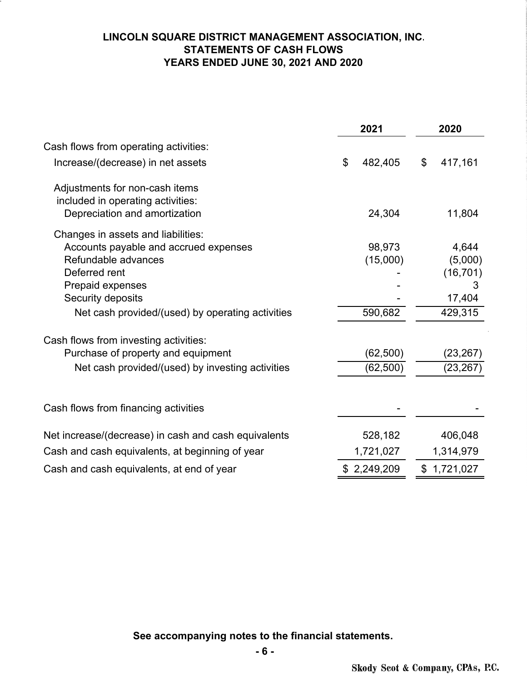## **STATEMENTS OF CASH FLOWS YEARS ENDED JUNE 30, 2021 AND 2020 LINCOLN SQUARE DISTRICT MANAGEMENT ASSOCIATION, INC.**

|                                                                                                                                                                                                                                                           | 2021                          | 2020                                                    |
|-----------------------------------------------------------------------------------------------------------------------------------------------------------------------------------------------------------------------------------------------------------|-------------------------------|---------------------------------------------------------|
| Cash flows from operating activities:                                                                                                                                                                                                                     |                               |                                                         |
| Increase/(decrease) in net assets                                                                                                                                                                                                                         | \$<br>482,405                 | \$<br>417,161                                           |
| Adjustments for non-cash items<br>included in operating activities:<br>Depreciation and amortization                                                                                                                                                      | 24,304                        | 11,804                                                  |
| Changes in assets and liabilities:<br>Accounts payable and accrued expenses<br>Refundable advances<br>Deferred rent<br>Prepaid expenses<br>Security deposits<br>Net cash provided/(used) by operating activities<br>Cash flows from investing activities: | 98,973<br>(15,000)<br>590,682 | 4,644<br>(5,000)<br>(16, 701)<br>3<br>17,404<br>429,315 |
| Purchase of property and equipment<br>Net cash provided/(used) by investing activities                                                                                                                                                                    | (62, 500)<br>(62, 500)        | (23, 267)<br>(23, 267)                                  |
| Cash flows from financing activities                                                                                                                                                                                                                      |                               |                                                         |
| Net increase/(decrease) in cash and cash equivalents                                                                                                                                                                                                      | 528,182                       | 406,048                                                 |
| Cash and cash equivalents, at beginning of year                                                                                                                                                                                                           | 1,721,027                     | 1,314,979                                               |
| Cash and cash equivalents, at end of year                                                                                                                                                                                                                 | \$2,249,209                   | \$1,721,027                                             |

**See accompanying notes to the financial statements.**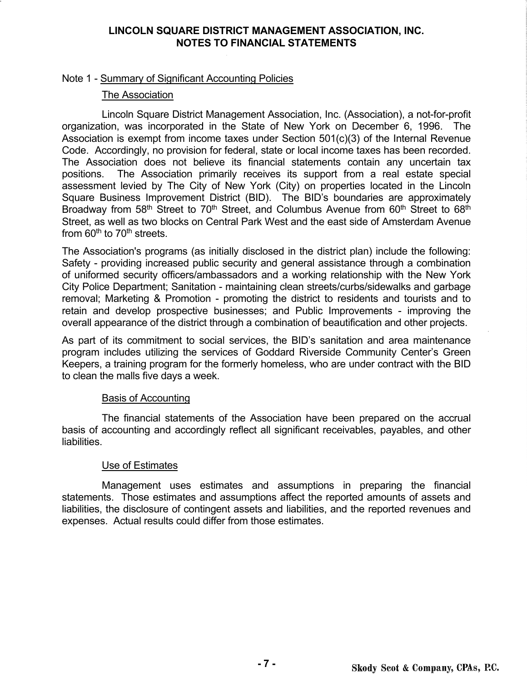#### Note 1 - Summary of Significant Accounting Policies

### The Association

 Lincoln Square District Management Association, Inc. (Association), a not-for-profit organization, was incorporated in the State of New York on December 6, 1996. The Association is exempt from income taxes under Section 501(c)(3) of the Internal Revenue Code. Accordingly, no provision for federal, state or local income taxes has been recorded. The Association does not believe its financial statements contain any uncertain tax positions. The Association primarily receives its support from a real estate special assessment levied by The City of New York (City) on properties located in the Lincoln Square Business Improvement District (BID). The BID's boundaries are approximately Broadway from  $58<sup>th</sup>$  Street to  $70<sup>th</sup>$  Street, and Columbus Avenue from  $60<sup>th</sup>$  Street to  $68<sup>th</sup>$ Street, as well as two blocks on Central Park West and the east side of Amsterdam Avenue from  $60<sup>th</sup>$  to  $70<sup>th</sup>$  streets.

The Association's programs (as initially disclosed in the district plan) include the following: Safety - providing increased public security and general assistance through a combination of uniformed security officers/ambassadors and a working relationship with the New York City Police Department; Sanitation - maintaining clean streets/curbs/sidewalks and garbage removal; Marketing & Promotion - promoting the district to residents and tourists and to retain and develop prospective businesses; and Public Improvements - improving the overall appearance of the district through a combination of beautification and other projects.

As part of its commitment to social services, the BID's sanitation and area maintenance program includes utilizing the services of Goddard Riverside Community Center's Green Keepers, a training program for the formerly homeless, who are under contract with the BID to clean the malls five days a week.

#### Basis of Accounting

 The financial statements of the Association have been prepared on the accrual basis of accounting and accordingly reflect all significant receivables, payables, and other liabilities.

### Use of Estimates

 Management uses estimates and assumptions in preparing the financial statements. Those estimates and assumptions affect the reported amounts of assets and liabilities, the disclosure of contingent assets and liabilities, and the reported revenues and expenses. Actual results could differ from those estimates.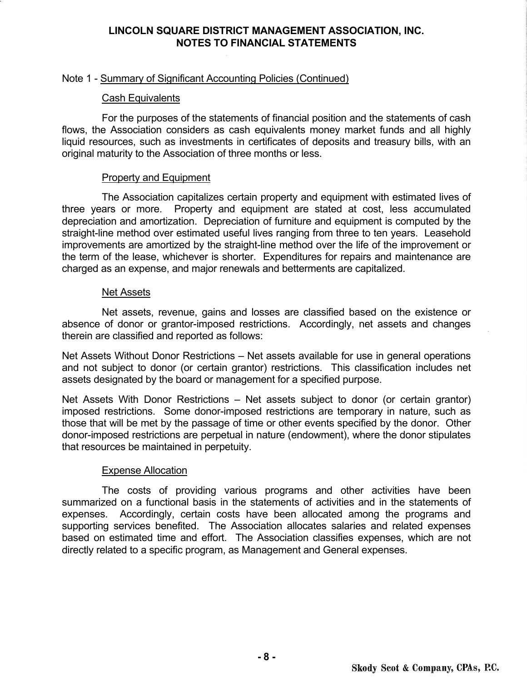#### Note 1 - Summary of Significant Accounting Policies (Continued)

### Cash Equivalents

 For the purposes of the statements of financial position and the statements of cash flows, the Association considers as cash equivalents money market funds and all highly liquid resources, such as investments in certificates of deposits and treasury bills, with an original maturity to the Association of three months or less.

#### Property and Equipment

 The Association capitalizes certain property and equipment with estimated lives of three years or more. Property and equipment are stated at cost, less accumulated depreciation and amortization. Depreciation of furniture and equipment is computed by the straight-line method over estimated useful lives ranging from three to ten years. Leasehold improvements are amortized by the straight-line method over the life of the improvement or the term of the lease, whichever is shorter. Expenditures for repairs and maintenance are charged as an expense, and major renewals and betterments are capitalized.

#### Net Assets

 Net assets, revenue, gains and losses are classified based on the existence or absence of donor or grantor-imposed restrictions. Accordingly, net assets and changes therein are classified and reported as follows:

Net Assets Without Donor Restrictions – Net assets available for use in general operations and not subject to donor (or certain grantor) restrictions. This classification includes net assets designated by the board or management for a specified purpose.

Net Assets With Donor Restrictions – Net assets subject to donor (or certain grantor) imposed restrictions. Some donor-imposed restrictions are temporary in nature, such as those that will be met by the passage of time or other events specified by the donor. Other donor-imposed restrictions are perpetual in nature (endowment), where the donor stipulates that resources be maintained in perpetuity.

### Expense Allocation

 The costs of providing various programs and other activities have been summarized on a functional basis in the statements of activities and in the statements of expenses. Accordingly, certain costs have been allocated among the programs and supporting services benefited. The Association allocates salaries and related expenses based on estimated time and effort. The Association classifies expenses, which are not directly related to a specific program, as Management and General expenses.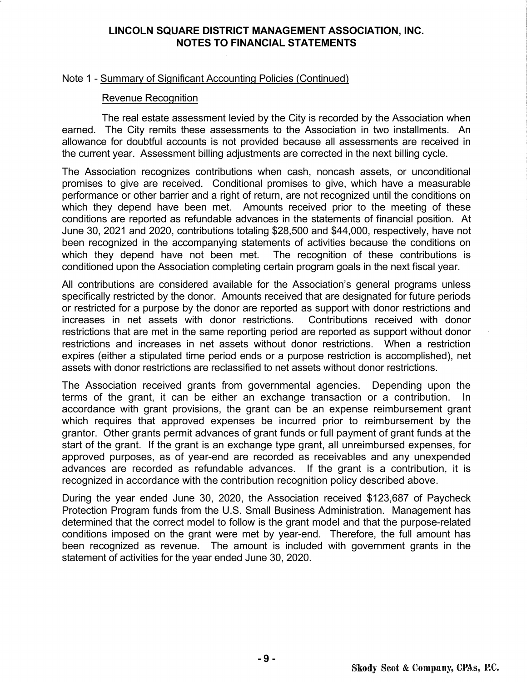#### Note 1 - Summary of Significant Accounting Policies (Continued)

#### Revenue Recognition

 The real estate assessment levied by the City is recorded by the Association when earned. The City remits these assessments to the Association in two installments. An allowance for doubtful accounts is not provided because all assessments are received in the current year. Assessment billing adjustments are corrected in the next billing cycle.

The Association recognizes contributions when cash, noncash assets, or unconditional promises to give are received. Conditional promises to give, which have a measurable performance or other barrier and a right of return, are not recognized until the conditions on which they depend have been met. Amounts received prior to the meeting of these conditions are reported as refundable advances in the statements of financial position. At June 30, 2021 and 2020, contributions totaling \$28,500 and \$44,000, respectively, have not been recognized in the accompanying statements of activities because the conditions on which they depend have not been met. The recognition of these contributions is conditioned upon the Association completing certain program goals in the next fiscal year.

All contributions are considered available for the Association's general programs unless specifically restricted by the donor. Amounts received that are designated for future periods or restricted for a purpose by the donor are reported as support with donor restrictions and increases in net assets with donor restrictions. Contributions received with donor restrictions that are met in the same reporting period are reported as support without donor restrictions and increases in net assets without donor restrictions. When a restriction expires (either a stipulated time period ends or a purpose restriction is accomplished), net assets with donor restrictions are reclassified to net assets without donor restrictions.

The Association received grants from governmental agencies. Depending upon the terms of the grant, it can be either an exchange transaction or a contribution. In accordance with grant provisions, the grant can be an expense reimbursement grant which requires that approved expenses be incurred prior to reimbursement by the grantor. Other grants permit advances of grant funds or full payment of grant funds at the start of the grant. If the grant is an exchange type grant, all unreimbursed expenses, for approved purposes, as of year-end are recorded as receivables and any unexpended advances are recorded as refundable advances. If the grant is a contribution, it is recognized in accordance with the contribution recognition policy described above.

During the year ended June 30, 2020, the Association received \$123,687 of Paycheck Protection Program funds from the U.S. Small Business Administration. Management has determined that the correct model to follow is the grant model and that the purpose-related conditions imposed on the grant were met by year-end. Therefore, the full amount has been recognized as revenue. The amount is included with government grants in the statement of activities for the year ended June 30, 2020.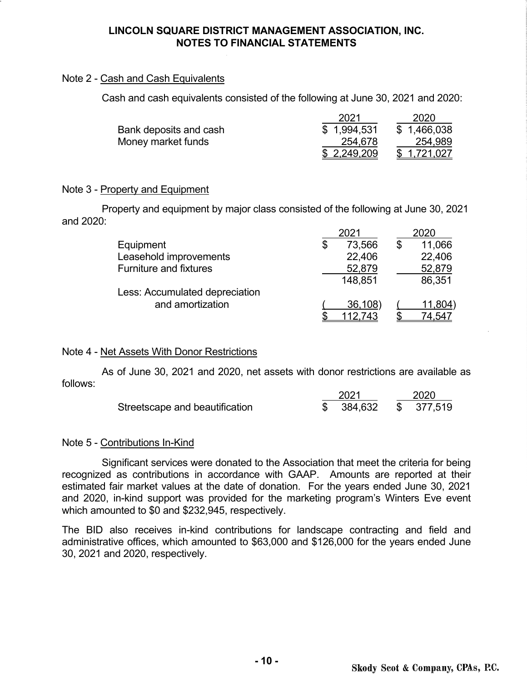### Note 2 - Cash and Cash Equivalents

Cash and cash equivalents consisted of the following at June 30, 2021 and 2020:

|                        | 2021         | 2020        |
|------------------------|--------------|-------------|
| Bank deposits and cash | \$1,994,531  | \$1,466,038 |
| Money market funds     | 254.678      | 254,989     |
|                        | \$ 2,249,209 | \$1,721,027 |

#### Note 3 - Property and Equipment

 Property and equipment by major class consisted of the following at June 30, 2021 and 2020:

| 2021         |   | 2020           |
|--------------|---|----------------|
| \$<br>73,566 | S | 11,066         |
| 22,406       |   | 22,406         |
| 52,879       |   | 52,879         |
| 148,851      |   | 86,351         |
|              |   |                |
| 36,108       |   | <u>11,804)</u> |
| 112.743      |   | 74.547         |
|              |   |                |

### Note 4 - Net Assets With Donor Restrictions

 As of June 30, 2021 and 2020, net assets with donor restrictions are available as follows:

|                                | 2021                  | 2020 |  |
|--------------------------------|-----------------------|------|--|
| Streetscape and beautification | $$384,632$ $$377,519$ |      |  |

### Note 5 - Contributions In-Kind

 Significant services were donated to the Association that meet the criteria for being recognized as contributions in accordance with GAAP. Amounts are reported at their estimated fair market values at the date of donation. For the years ended June 30, 2021 and 2020, in-kind support was provided for the marketing program's Winters Eve event which amounted to \$0 and \$232,945, respectively.

The BID also receives in-kind contributions for landscape contracting and field and administrative offices, which amounted to \$63,000 and \$126,000 for the years ended June 30, 2021 and 2020, respectively.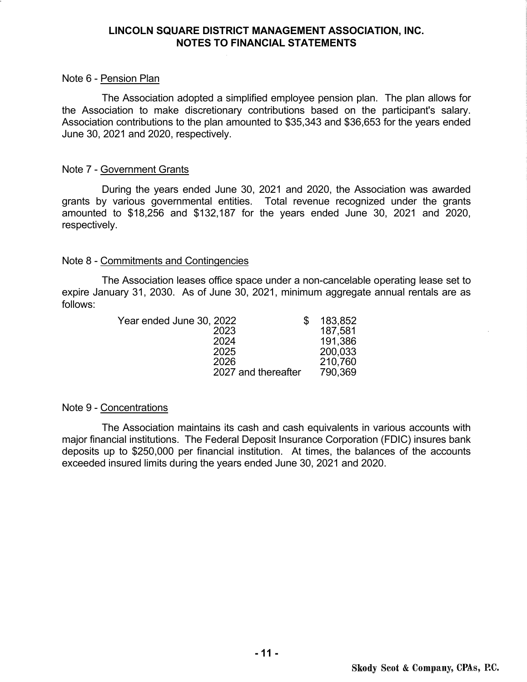#### Note 6 - Pension Plan

 The Association adopted a simplified employee pension plan. The plan allows for the Association to make discretionary contributions based on the participant's salary. Association contributions to the plan amounted to \$35,343 and \$36,653 for the years ended June 30, 2021 and 2020, respectively.

#### Note 7 - Government Grants

 During the years ended June 30, 2021 and 2020, the Association was awarded grants by various governmental entities. Total revenue recognized under the grants amounted to \$18,256 and \$132,187 for the years ended June 30, 2021 and 2020, respectively.

#### Note 8 - Commitments and Contingencies

 The Association leases office space under a non-cancelable operating lease set to expire January 31, 2030. As of June 30, 2021, minimum aggregate annual rentals are as follows:

| Year ended June 30, 2022 |                     | 183,852 |
|--------------------------|---------------------|---------|
| 2023                     |                     | 187,581 |
| 2024                     |                     | 191,386 |
| 2025                     |                     | 200,033 |
| 2026                     |                     | 210,760 |
|                          | 2027 and thereafter | 790,369 |

Note 9 - Concentrations

 The Association maintains its cash and cash equivalents in various accounts with major financial institutions. The Federal Deposit Insurance Corporation (FDIC) insures bank deposits up to \$250,000 per financial institution. At times, the balances of the accounts exceeded insured limits during the years ended June 30, 2021 and 2020.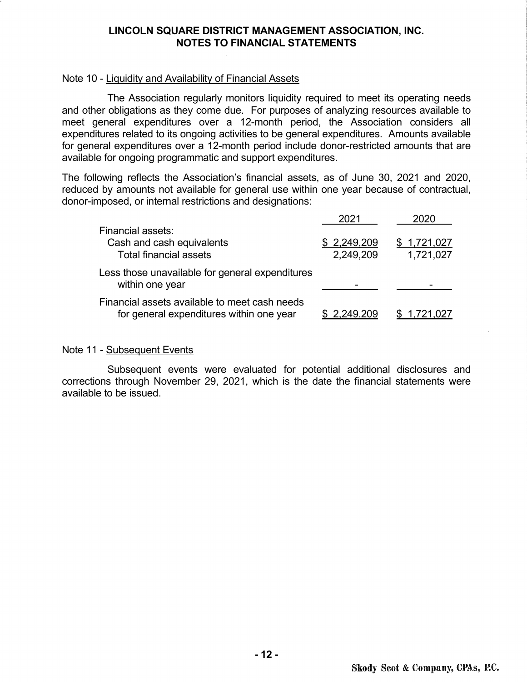#### Note 10 - Liquidity and Availability of Financial Assets

 The Association regularly monitors liquidity required to meet its operating needs and other obligations as they come due. For purposes of analyzing resources available to meet general expenditures over a 12-month period, the Association considers all expenditures related to its ongoing activities to be general expenditures. Amounts available for general expenditures over a 12-month period include donor-restricted amounts that are available for ongoing programmatic and support expenditures.

The following reflects the Association's financial assets, as of June 30, 2021 and 2020, reduced by amounts not available for general use within one year because of contractual, donor-imposed, or internal restrictions and designations:

|                                                                                           | 202                      |                          |
|-------------------------------------------------------------------------------------------|--------------------------|--------------------------|
| Financial assets:<br>Cash and cash equivalents<br><b>Total financial assets</b>           | \$2,249,209<br>2,249,209 | \$1,721,027<br>1,721,027 |
| Less those unavailable for general expenditures<br>within one year                        |                          |                          |
| Financial assets available to meet cash needs<br>for general expenditures within one year | \$2.249.209              |                          |

### Note 11 - Subsequent Events

 Subsequent events were evaluated for potential additional disclosures and corrections through November 29, 2021, which is the date the financial statements were available to be issued.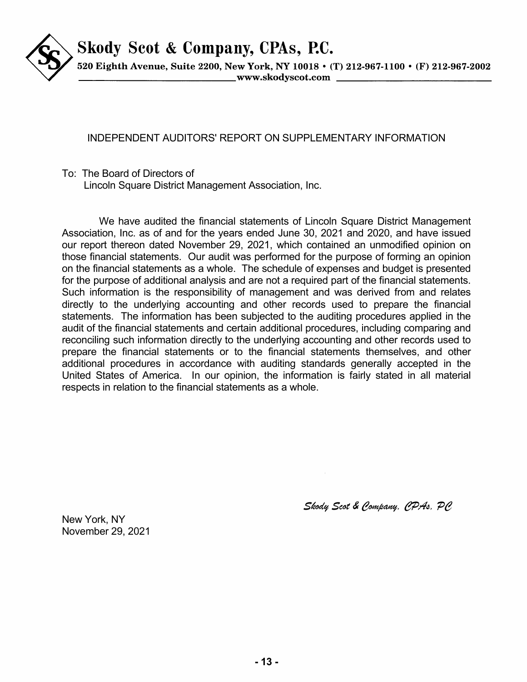

Skody Scot & Company, CPAs, P.C.

520 Eighth Avenue, Suite 2200, New York, NY 10018 • (T) 212-967-1100 • (F) 212-967-2002 www.skodyscot.com

### INDEPENDENT AUDITORS' REPORT ON SUPPLEMENTARY INFORMATION

To: The Board of Directors of Lincoln Square District Management Association, Inc.

 We have audited the financial statements of Lincoln Square District Management Association, Inc. as of and for the years ended June 30, 2021 and 2020, and have issued our report thereon dated November 29, 2021, which contained an unmodified opinion on those financial statements. Our audit was performed for the purpose of forming an opinion on the financial statements as a whole. The schedule of expenses and budget is presented for the purpose of additional analysis and are not a required part of the financial statements. Such information is the responsibility of management and was derived from and relates directly to the underlying accounting and other records used to prepare the financial statements. The information has been subjected to the auditing procedures applied in the audit of the financial statements and certain additional procedures, including comparing and reconciling such information directly to the underlying accounting and other records used to prepare the financial statements or to the financial statements themselves, and other additional procedures in accordance with auditing standards generally accepted in the United States of America. In our opinion, the information is fairly stated in all material respects in relation to the financial statements as a whole.

 *Skody Scot & Company, CPAs, PC*

New York, NY November 29, 2021